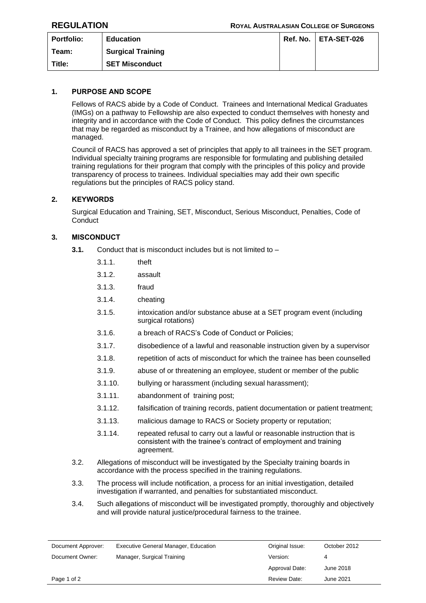| <b>Portfolio:</b> | <b>Education</b>         | Ref. No. | <b>ETA-SET-026</b> |
|-------------------|--------------------------|----------|--------------------|
| Team:             | <b>Surgical Training</b> |          |                    |
| Title:            | <b>SET Misconduct</b>    |          |                    |

# **1. PURPOSE AND SCOPE**

Fellows of RACS abide by a Code of Conduct. Trainees and International Medical Graduates (IMGs) on a pathway to Fellowship are also expected to conduct themselves with honesty and integrity and in accordance with the Code of Conduct. This policy defines the circumstances that may be regarded as misconduct by a Trainee, and how allegations of misconduct are managed.

Council of RACS has approved a set of principles that apply to all trainees in the SET program. Individual specialty training programs are responsible for formulating and publishing detailed training regulations for their program that comply with the principles of this policy and provide transparency of process to trainees. Individual specialties may add their own specific regulations but the principles of RACS policy stand.

## **2. KEYWORDS**

Surgical Education and Training, SET, Misconduct, Serious Misconduct, Penalties, Code of **Conduct** 

## **3. MISCONDUCT**

- **3.1.** Conduct that is misconduct includes but is not limited to
	- 3.1.1. theft
	- 3.1.2. assault
	- 3.1.3. fraud
	- 3.1.4. cheating
	- 3.1.5. intoxication and/or substance abuse at a SET program event (including surgical rotations)
	- 3.1.6. a breach of RACS's Code of Conduct or Policies;
	- 3.1.7. disobedience of a lawful and reasonable instruction given by a supervisor
	- 3.1.8. repetition of acts of misconduct for which the trainee has been counselled
	- 3.1.9. abuse of or threatening an employee, student or member of the public
	- 3.1.10. bullying or harassment (including sexual harassment);
	- 3.1.11. abandonment of training post;
	- 3.1.12. falsification of training records, patient documentation or patient treatment;
	- 3.1.13. malicious damage to RACS or Society property or reputation;
	- 3.1.14. repeated refusal to carry out a lawful or reasonable instruction that is consistent with the trainee's contract of employment and training agreement.
- 3.2. Allegations of misconduct will be investigated by the Specialty training boards in accordance with the process specified in the training regulations.
- 3.3. The process will include notification, a process for an initial investigation, detailed investigation if warranted, and penalties for substantiated misconduct.
- 3.4. Such allegations of misconduct will be investigated promptly, thoroughly and objectively and will provide natural justice/procedural fairness to the trainee.

| Document Approver: | <b>Executive General Manager, Education</b> | Original Issue:     | October 2012 |
|--------------------|---------------------------------------------|---------------------|--------------|
| Document Owner:    | Manager, Surgical Training                  | Version:            |              |
|                    |                                             | Approval Date:      | June 2018    |
| Page 1 of 2        |                                             | <b>Review Date:</b> | June 2021    |